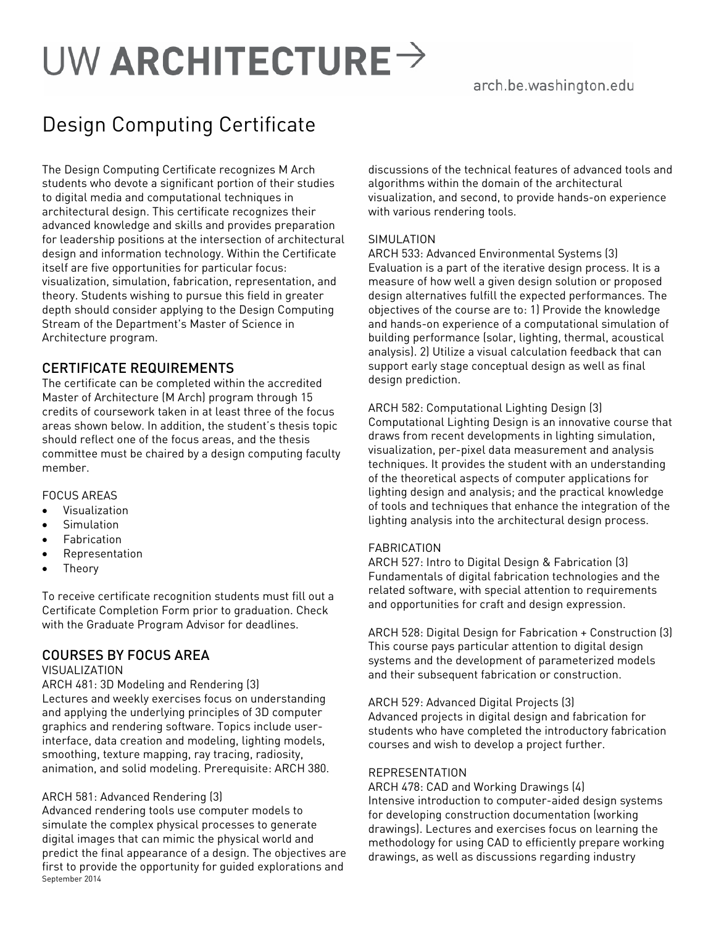# UW ARCHITECTURE  $\rightarrow$

# Design Computing Certificate

The Design Computing Certificate recognizes M Arch students who devote a significant portion of their studies to digital media and computational techniques in architectural design. This certificate recognizes their advanced knowledge and skills and provides preparation for leadership positions at the intersection of architectural design and information technology. Within the Certificate itself are five opportunities for particular focus: visualization, simulation, fabrication, representation, and theory. Students wishing to pursue this field in greater depth should consider applying to the Design Computing Stream of the Department's Master of Science in Architecture program.

# CERTIFICATE REQUIREMENTS

The certificate can be completed within the accredited Master of Architecture (M Arch) program through 15 credits of coursework taken in at least three of the focus areas shown below. In addition, the student's thesis topic should reflect one of the focus areas, and the thesis committee must be chaired by a design computing faculty member.

# FOCUS AREAS

- Visualization
- **Simulation**
- Fabrication
- Representation
- Theory

To receive certificate recognition students must fill out a Certificate Completion Form prior to graduation. Check with the Graduate Program Advisor for deadlines.

# COURSES BY FOCUS AREA

#### **VISUALIZATION**

ARCH 481: 3D Modeling and Rendering (3) Lectures and weekly exercises focus on understanding and applying the underlying principles of 3D computer graphics and rendering software. Topics include userinterface, data creation and modeling, lighting models, smoothing, texture mapping, ray tracing, radiosity, animation, and solid modeling. Prerequisite: ARCH 380.

### ARCH 581: Advanced Rendering (3)

September 2014 Advanced rendering tools use computer models to simulate the complex physical processes to generate digital images that can mimic the physical world and predict the final appearance of a design. The objectives are first to provide the opportunity for guided explorations and

discussions of the technical features of advanced tools and algorithms within the domain of the architectural visualization, and second, to provide hands-on experience with various rendering tools.

## SIMULATION

ARCH 533: Advanced Environmental Systems (3) Evaluation is a part of the iterative design process. It is a measure of how well a given design solution or proposed design alternatives fulfill the expected performances. The objectives of the course are to: 1) Provide the knowledge and hands-on experience of a computational simulation of building performance (solar, lighting, thermal, acoustical analysis). 2) Utilize a visual calculation feedback that can support early stage conceptual design as well as final design prediction.

# ARCH 582: Computational Lighting Design (3)

Computational Lighting Design is an innovative course that draws from recent developments in lighting simulation, visualization, per-pixel data measurement and analysis techniques. It provides the student with an understanding of the theoretical aspects of computer applications for lighting design and analysis; and the practical knowledge of tools and techniques that enhance the integration of the lighting analysis into the architectural design process.

### FABRICATION

ARCH 527: Intro to Digital Design & Fabrication (3) Fundamentals of digital fabrication technologies and the related software, with special attention to requirements and opportunities for craft and design expression.

ARCH 528: Digital Design for Fabrication + Construction (3) This course pays particular attention to digital design systems and the development of parameterized models and their subsequent fabrication or construction.

ARCH 529: Advanced Digital Projects (3)

Advanced projects in digital design and fabrication for students who have completed the introductory fabrication courses and wish to develop a project further.

### REPRESENTATION

ARCH 478: CAD and Working Drawings (4) Intensive introduction to computer-aided design systems for developing construction documentation (working drawings). Lectures and exercises focus on learning the methodology for using CAD to efficiently prepare working drawings, as well as discussions regarding industry